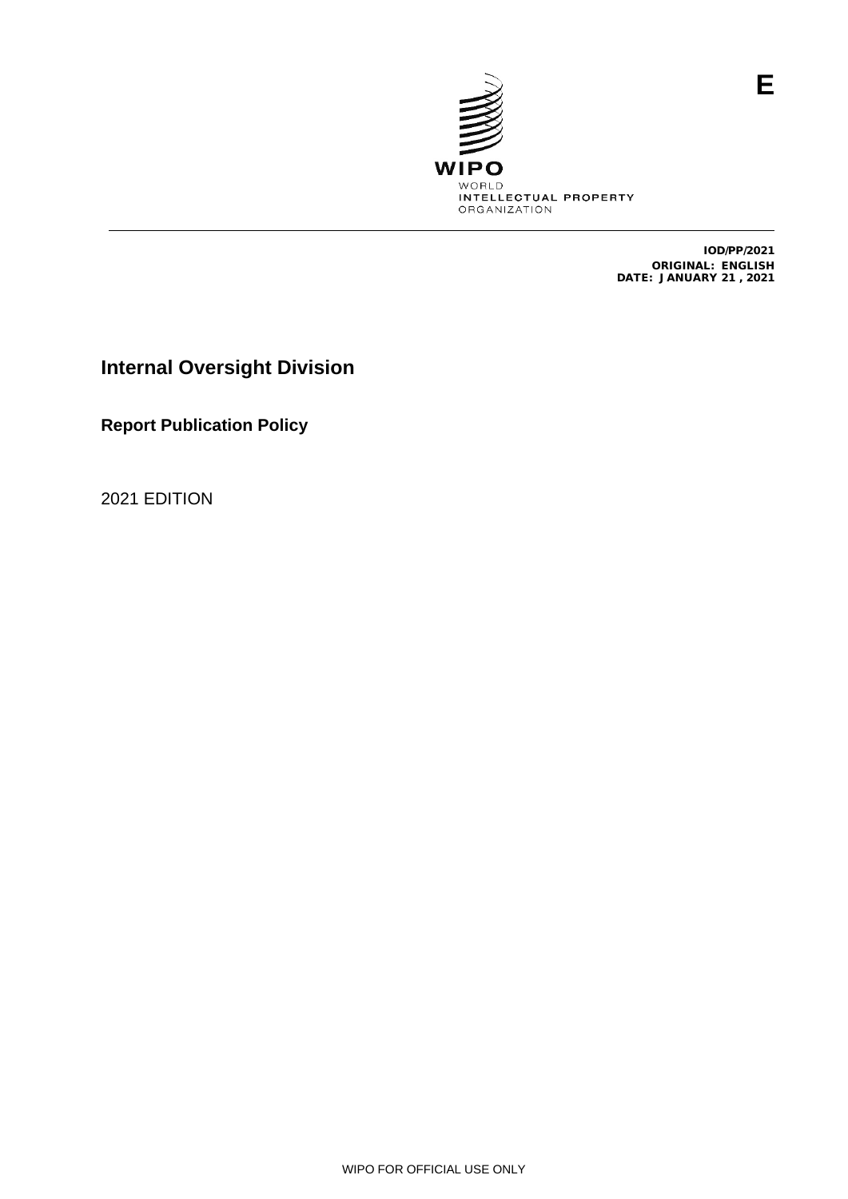

IOD/PP/2021 ORIGINAL: ENGLISH DATE: JANUARY 21 , 2021

**Internal Oversight Division**

**Report Publication Policy**

2021 EDITION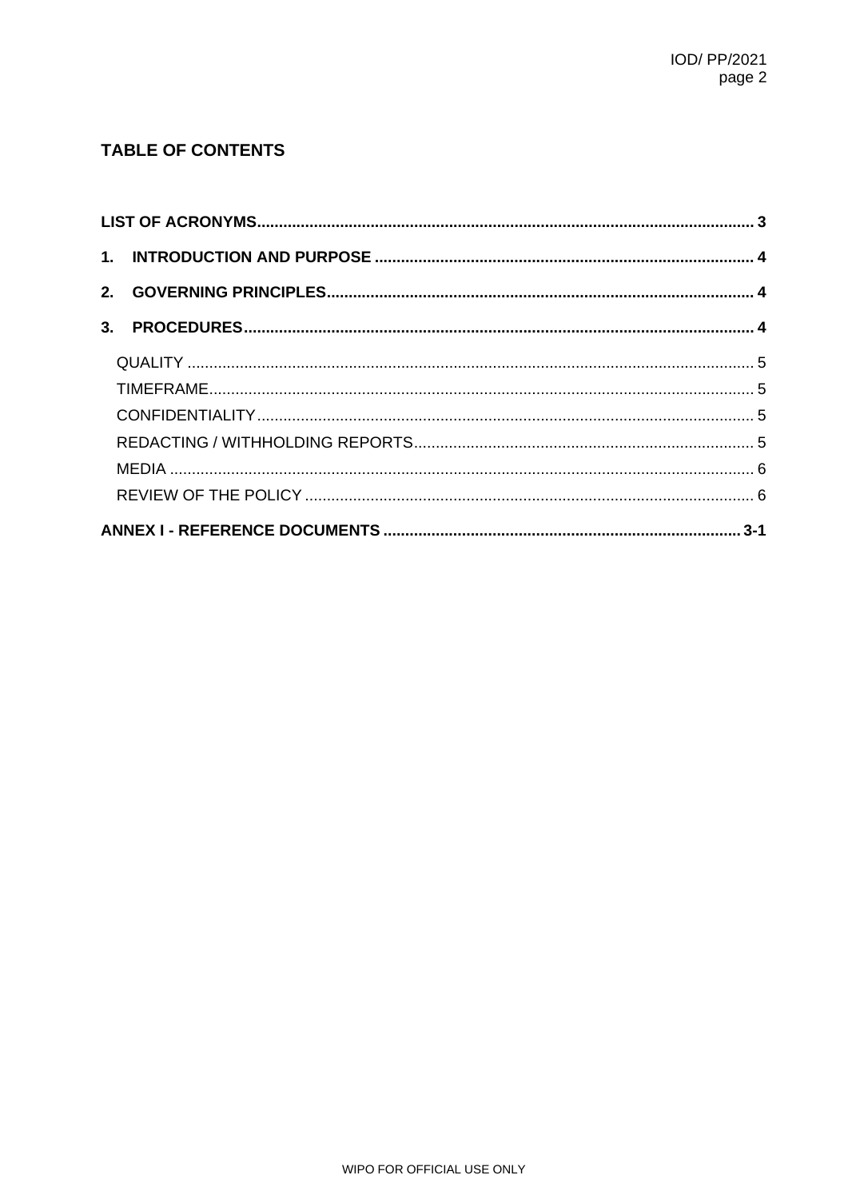# **TABLE OF CONTENTS**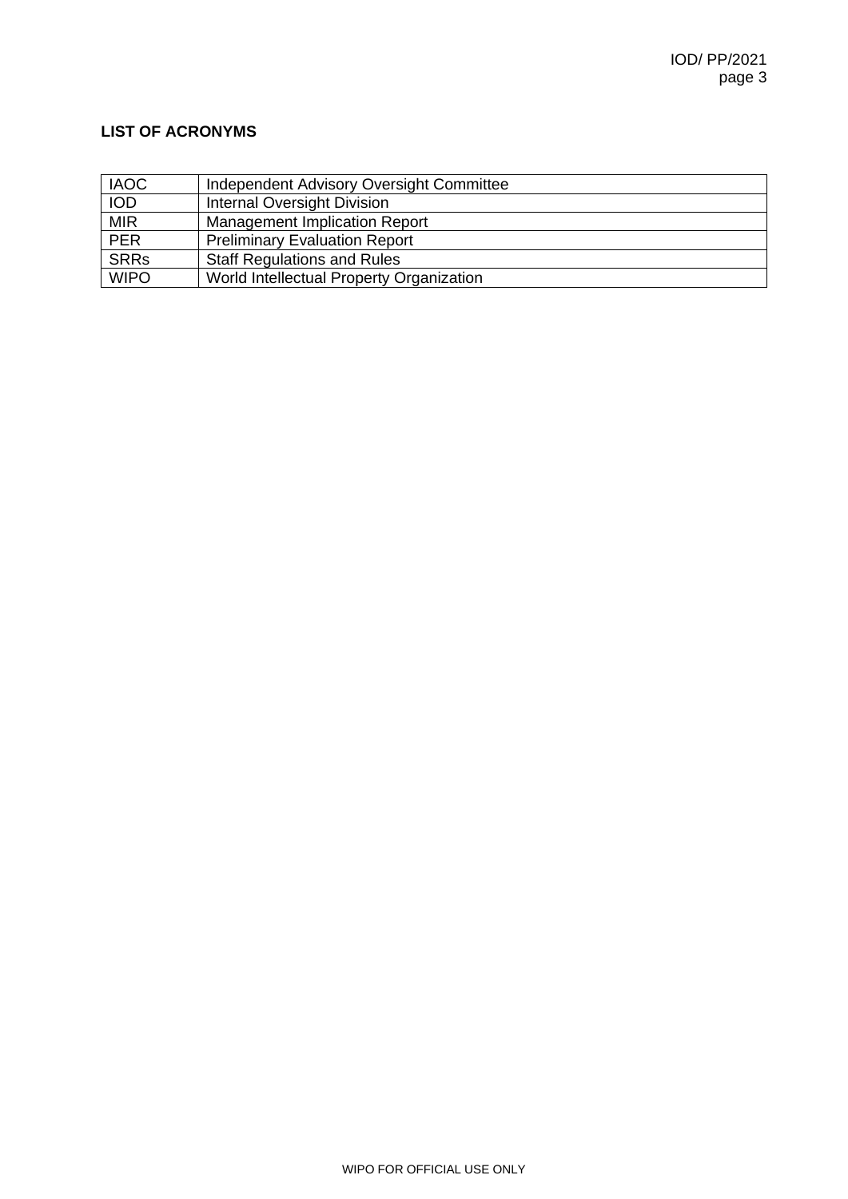# <span id="page-2-0"></span>**LIST OF ACRONYMS**

| <b>IAOC</b> | Independent Advisory Oversight Committee |
|-------------|------------------------------------------|
| <b>IOD</b>  | <b>Internal Oversight Division</b>       |
| <b>MIR</b>  | <b>Management Implication Report</b>     |
| PER         | <b>Preliminary Evaluation Report</b>     |
| <b>SRRs</b> | <b>Staff Regulations and Rules</b>       |
| <b>WIPO</b> | World Intellectual Property Organization |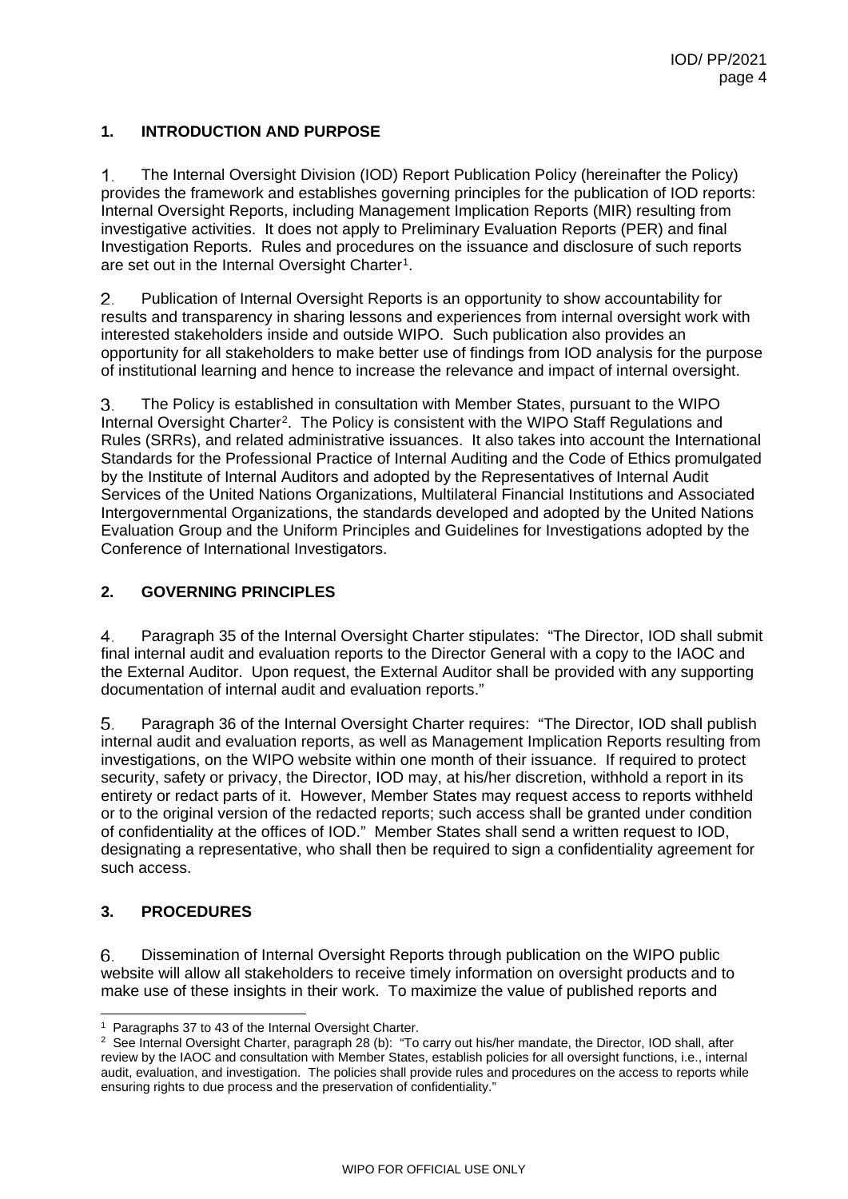# <span id="page-3-0"></span>**1. INTRODUCTION AND PURPOSE**

 $\mathbf{1}$ . The Internal Oversight Division (IOD) Report Publication Policy (hereinafter the Policy) provides the framework and establishes governing principles for the publication of IOD reports: Internal Oversight Reports, including Management Implication Reports (MIR) resulting from investigative activities. It does not apply to Preliminary Evaluation Reports (PER) and final Investigation Reports. Rules and procedures on the issuance and disclosure of such reports are set out in the Internal Oversight Charter<sup>1</sup>.

2. Publication of Internal Oversight Reports is an opportunity to show accountability for results and transparency in sharing lessons and experiences from internal oversight work with interested stakeholders inside and outside WIPO. Such publication also provides an opportunity for all stakeholders to make better use of findings from IOD analysis for the purpose of institutional learning and hence to increase the relevance and impact of internal oversight.

The Policy is established in consultation with Member States, pursuant to the WIPO 3. Internal Oversight Charter[2.](#page-3-4) The Policy is consistent with the WIPO Staff Regulations and Rules (SRRs), and related administrative issuances. It also takes into account the International Standards for the Professional Practice of Internal Auditing and the Code of Ethics promulgated by the Institute of Internal Auditors and adopted by the Representatives of Internal Audit Services of the United Nations Organizations, Multilateral Financial Institutions and Associated Intergovernmental Organizations, the standards developed and adopted by the United Nations Evaluation Group and the Uniform Principles and Guidelines for Investigations adopted by the Conference of International Investigators.

# <span id="page-3-1"></span>**2. GOVERNING PRINCIPLES**

 $\overline{4}$ Paragraph 35 of the Internal Oversight Charter stipulates: "The Director, IOD shall submit final internal audit and evaluation reports to the Director General with a copy to the IAOC and the External Auditor. Upon request, the External Auditor shall be provided with any supporting documentation of internal audit and evaluation reports."

5. Paragraph 36 of the Internal Oversight Charter requires: "The Director, IOD shall publish internal audit and evaluation reports, as well as Management Implication Reports resulting from investigations, on the WIPO website within one month of their issuance. If required to protect security, safety or privacy, the Director, IOD may, at his/her discretion, withhold a report in its entirety or redact parts of it. However, Member States may request access to reports withheld or to the original version of the redacted reports; such access shall be granted under condition of confidentiality at the offices of IOD." Member States shall send a written request to IOD, designating a representative, who shall then be required to sign a confidentiality agreement for such access.

## <span id="page-3-2"></span>**3. PROCEDURES**

6. Dissemination of Internal Oversight Reports through publication on the WIPO public website will allow all stakeholders to receive timely information on oversight products and to make use of these insights in their work. To maximize the value of published reports and

<span id="page-3-3"></span> <sup>1</sup> Paragraphs 37 to 43 of the Internal Oversight Charter.

<span id="page-3-4"></span><sup>&</sup>lt;sup>2</sup> See Internal Oversight Charter, paragraph 28 (b): "To carry out his/her mandate, the Director, IOD shall, after review by the IAOC and consultation with Member States, establish policies for all oversight functions, i.e., internal audit, evaluation, and investigation. The policies shall provide rules and procedures on the access to reports while ensuring rights to due process and the preservation of confidentiality."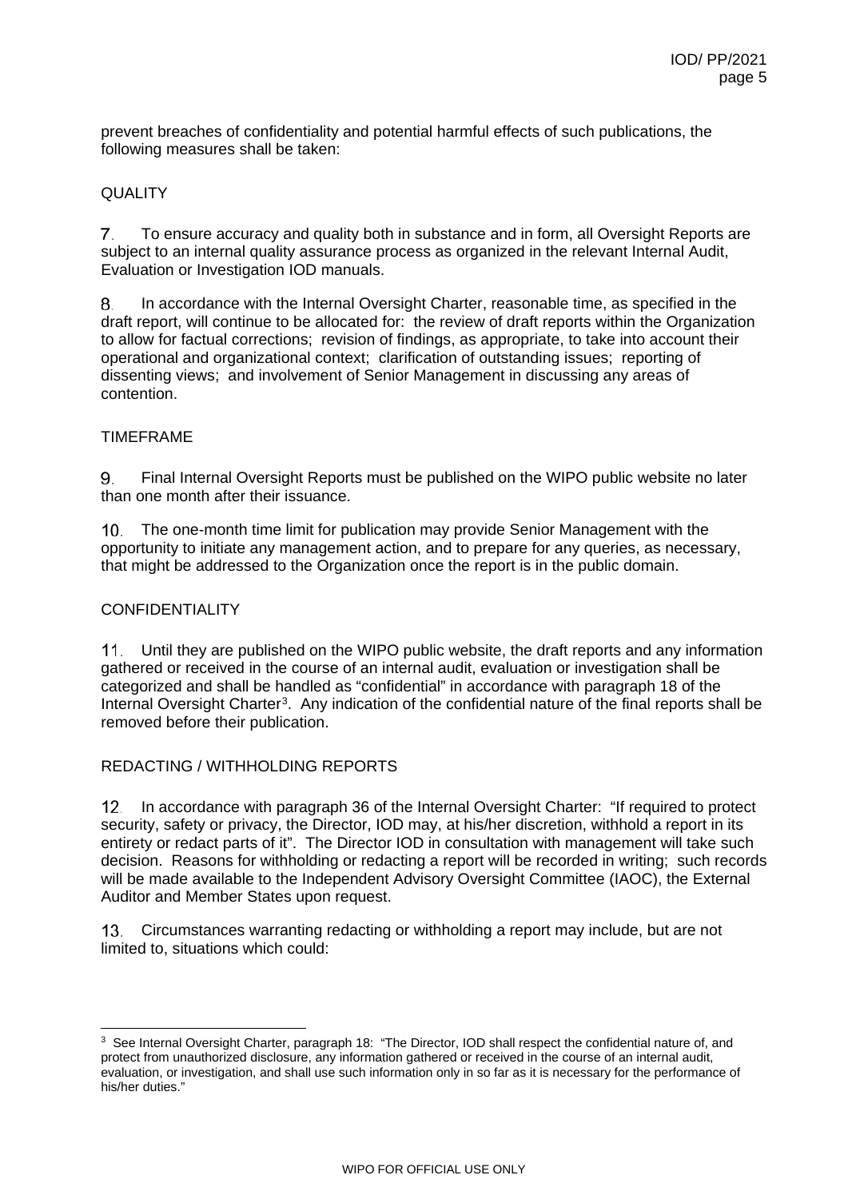prevent breaches of confidentiality and potential harmful effects of such publications, the following measures shall be taken:

### <span id="page-4-0"></span>QUALITY

 $7<sub>1</sub>$ To ensure accuracy and quality both in substance and in form, all Oversight Reports are subject to an internal quality assurance process as organized in the relevant Internal Audit, Evaluation or Investigation IOD manuals.

8. In accordance with the Internal Oversight Charter, reasonable time, as specified in the draft report, will continue to be allocated for: the review of draft reports within the Organization to allow for factual corrections; revision of findings, as appropriate, to take into account their operational and organizational context; clarification of outstanding issues; reporting of dissenting views; and involvement of Senior Management in discussing any areas of contention.

#### <span id="page-4-1"></span>TIMEFRAME

Final Internal Oversight Reports must be published on the WIPO public website no later 9 than one month after their issuance.

 $10<sub>1</sub>$ The one-month time limit for publication may provide Senior Management with the opportunity to initiate any management action, and to prepare for any queries, as necessary, that might be addressed to the Organization once the report is in the public domain.

## <span id="page-4-2"></span>CONFIDENTIALITY

Until they are published on the WIPO public website, the draft reports and any information  $11.$ gathered or received in the course of an internal audit, evaluation or investigation shall be categorized and shall be handled as "confidential" in accordance with paragraph 18 of the Internal Oversight Charter<sup>3</sup>. Any indication of the confidential nature of the final reports shall be removed before their publication.

## <span id="page-4-3"></span>REDACTING / WITHHOLDING REPORTS

 $12<sup>1</sup>$ In accordance with paragraph 36 of the Internal Oversight Charter: "If required to protect security, safety or privacy, the Director, IOD may, at his/her discretion, withhold a report in its entirety or redact parts of it". The Director IOD in consultation with management will take such decision. Reasons for withholding or redacting a report will be recorded in writing; such records will be made available to the Independent Advisory Oversight Committee (IAOC), the External Auditor and Member States upon request.

Circumstances warranting redacting or withholding a report may include, but are not  $13<sub>1</sub>$ limited to, situations which could:

<span id="page-4-4"></span><sup>&</sup>lt;sup>3</sup> See Internal Oversight Charter, paragraph 18: "The Director, IOD shall respect the confidential nature of, and protect from unauthorized disclosure, any information gathered or received in the course of an internal audit, evaluation, or investigation, and shall use such information only in so far as it is necessary for the performance of his/her duties."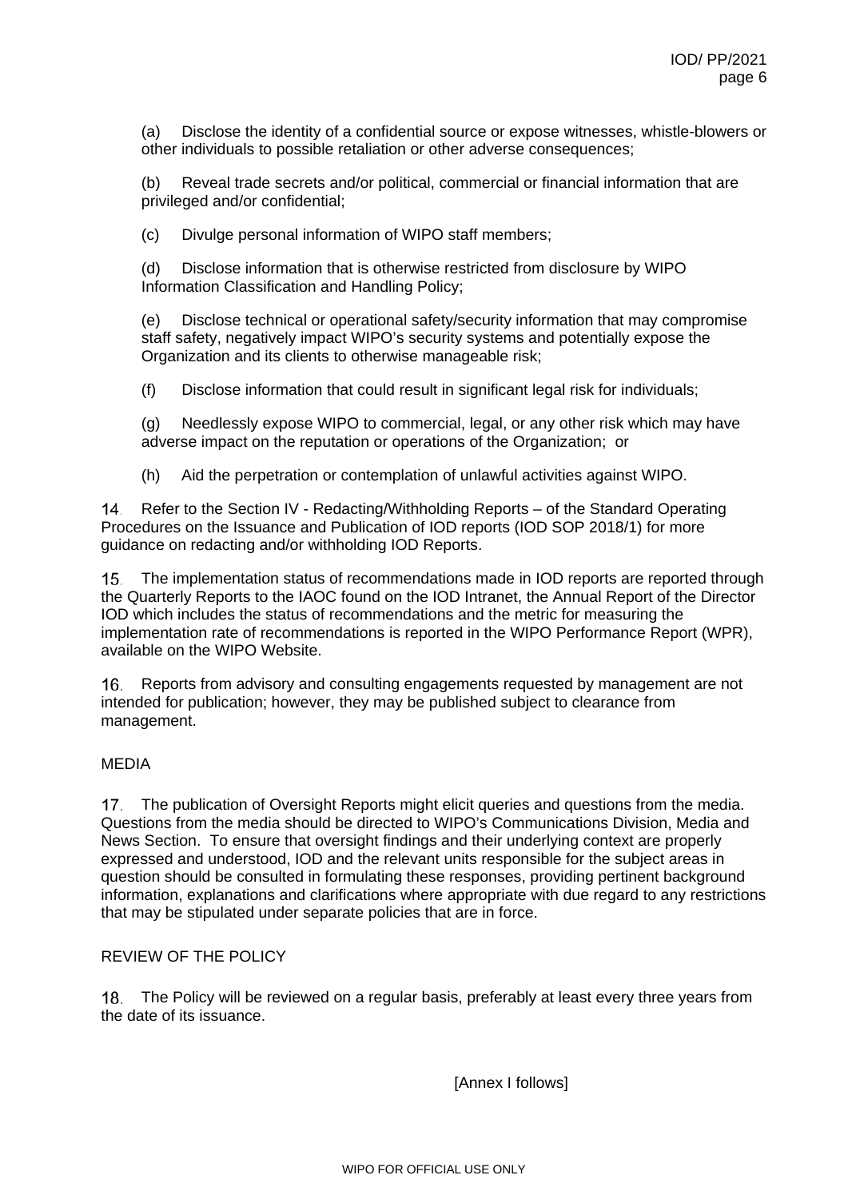(a) Disclose the identity of a confidential source or expose witnesses, whistle-blowers or other individuals to possible retaliation or other adverse consequences;

(b) Reveal trade secrets and/or political, commercial or financial information that are privileged and/or confidential;

(c) Divulge personal information of WIPO staff members;

(d) Disclose information that is otherwise restricted from disclosure by WIPO Information Classification and Handling Policy;

(e) Disclose technical or operational safety/security information that may compromise staff safety, negatively impact WIPO's security systems and potentially expose the Organization and its clients to otherwise manageable risk;

(f) Disclose information that could result in significant legal risk for individuals;

(g) Needlessly expose WIPO to commercial, legal, or any other risk which may have adverse impact on the reputation or operations of the Organization; or

(h) Aid the perpetration or contemplation of unlawful activities against WIPO.

14. Refer to the Section IV - Redacting/Withholding Reports – of the Standard Operating Procedures on the Issuance and Publication of IOD reports (IOD SOP 2018/1) for more guidance on redacting and/or withholding IOD Reports.

The implementation status of recommendations made in IOD reports are reported through 15. the Quarterly Reports to the IAOC found on the IOD Intranet, the Annual Report of the Director IOD which includes the status of recommendations and the metric for measuring the implementation rate of recommendations is reported in the WIPO Performance Report (WPR), available on the WIPO Website.

Reports from advisory and consulting engagements requested by management are not 16. intended for publication; however, they may be published subject to clearance from management.

#### <span id="page-5-0"></span>MEDIA

17. The publication of Oversight Reports might elicit queries and questions from the media. Questions from the media should be directed to WIPO's Communications Division, Media and News Section. To ensure that oversight findings and their underlying context are properly expressed and understood, IOD and the relevant units responsible for the subject areas in question should be consulted in formulating these responses, providing pertinent background information, explanations and clarifications where appropriate with due regard to any restrictions that may be stipulated under separate policies that are in force.

#### <span id="page-5-1"></span>REVIEW OF THE POLICY

The Policy will be reviewed on a regular basis, preferably at least every three years from 18. the date of its issuance.

[Annex I follows]